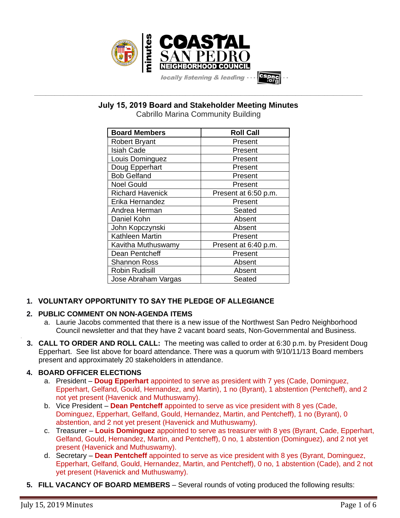

**\_\_\_\_\_\_\_\_\_\_\_\_\_\_\_\_\_\_\_\_\_\_\_\_\_\_\_\_\_\_\_\_\_\_\_\_\_\_\_\_\_\_\_\_\_\_\_\_\_\_\_\_\_\_\_\_\_\_\_\_\_\_\_\_\_\_\_\_\_\_\_\_\_\_\_\_\_\_\_\_\_\_\_\_\_\_\_\_\_\_\_\_\_\_\_\_\_\_\_\_\_\_\_\_\_\_\_\_\_\_\_\_\_ July 15, 2019 Board and Stakeholder Meeting Minutes**

Cabrillo Marina Community Building

| <b>Board Members</b>    | <b>Roll Call</b>     |
|-------------------------|----------------------|
| <b>Robert Bryant</b>    | Present              |
| <b>Isiah Cade</b>       | Present              |
| Louis Dominguez         | Present              |
| Doug Epperhart          | Present              |
| <b>Bob Gelfand</b>      | Present              |
| <b>Noel Gould</b>       | Present              |
| <b>Richard Havenick</b> | Present at 6:50 p.m. |
| Erika Hernandez         | Present              |
| Andrea Herman           | Seated               |
| Daniel Kohn             | Absent               |
| John Kopczynski         | Absent               |
| Kathleen Martin         | Present              |
| Kavitha Muthuswamy      | Present at 6:40 p.m. |
| Dean Pentcheff          | Present              |
| <b>Shannon Ross</b>     | Absent               |
| <b>Robin Rudisill</b>   | Absent               |
| Jose Abraham Vargas     | Seated               |

### **1. VOLUNTARY OPPORTUNITY TO SAY THE PLEDGE OF ALLEGIANCE**

### **2. PUBLIC COMMENT ON NON-AGENDA ITEMS**

- a. Laurie Jacobs commented that there is a new issue of the Northwest San Pedro Neighborhood Council newsletter and that they have 2 vacant board seats, Non-Governmental and Business.
- **3. CALL TO ORDER AND ROLL CALL:** The meeting was called to order at 6:30 p.m. by President Doug Epperhart. See list above for board attendance. There was a quorum with 9/10/11/13 Board members present and approximately 20 stakeholders in attendance.

### **4. BOARD OFFICER ELECTIONS**

- a. President **Doug Epperhart** appointed to serve as president with 7 yes (Cade, Dominguez, Epperhart, Gelfand, Gould, Hernandez, and Martin), 1 no (Byrant), 1 abstention (Pentcheff), and 2 not yet present (Havenick and Muthuswamy).
- b. Vice President **Dean Pentcheff** appointed to serve as vice president with 8 yes (Cade, Dominguez, Epperhart, Gelfand, Gould, Hernandez, Martin, and Pentcheff), 1 no (Byrant), 0 abstention, and 2 not yet present (Havenick and Muthuswamy).
- c. Treasurer **Louis Dominguez** appointed to serve as treasurer with 8 yes (Byrant, Cade, Epperhart, Gelfand, Gould, Hernandez, Martin, and Pentcheff), 0 no, 1 abstention (Dominguez), and 2 not yet present (Havenick and Muthuswamy).
- d. Secretary **Dean Pentcheff** appointed to serve as vice president with 8 yes (Byrant, Dominguez, Epperhart, Gelfand, Gould, Hernandez, Martin, and Pentcheff), 0 no, 1 abstention (Cade), and 2 not yet present (Havenick and Muthuswamy).
- **5. FILL VACANCY OF BOARD MEMBERS** Several rounds of voting produced the following results:

.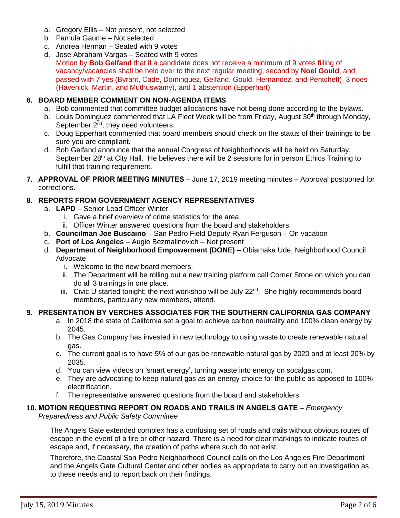- a. Gregory Ellis Not present, not selected
- b. Pamula Gaume Not selected
- c. Andrea Herman Seated with 9 votes
- d. Jose Abraham Vargas Seated with 9 votes Motion by **Bob Gelfand** that if a candidate does not receive a minimum of 9 votes filling of vacancy/vacancies shall be held over to the next regular meeting, second by **Noel Gould**, and passed with 7 yes (Byrant, Cade, Dominguez, Gelfand, Gould, Hernandez, and Pentcheff), 3 noes (Havenick, Martin, and Muthuswamy), and 1 abstention (Epperhart).

#### **6. BOARD MEMBER COMMENT ON NON-AGENDA ITEMS**

- a. Bob commented that committee budget allocations have not being done according to the bylaws.
- b. Louis Dominguez commented that LA Fleet Week will be from Friday, August 30<sup>th</sup> through Monday, September  $2<sup>nd</sup>$ , they need volunteers.
- c. Doug Epperhart commented that board members should check on the status of their trainings to be sure you are compliant.
- d. Bob Gelfand announce that the annual Congress of Neighborhoods will be held on Saturday, September 28<sup>th</sup> at City Hall. He believes there will be 2 sessions for in person Ethics Training to fulfill that training requirement.
- **7. APPROVAL OF PRIOR MEETING MINUTES** June 17, 2019 meeting minutes Approval postponed for corrections.

#### **8. REPORTS FROM GOVERNMENT AGENCY REPRESENTATIVES**

- a. **LAPD**  Senior Lead Officer Winter
	- i. Gave a brief overview of crime statistics for the area.
	- ii. Officer Winter answered questions from the board and stakeholders.
- b. **Councilman Joe Buscaino** San Pedro Field Deputy Ryan Ferguson On vacation
- c. **Port of Los Angeles** Augie Bezmalinovich Not present
- d. **Department of Neighborhood Empowerment (DONE)** Obiamaka Ude, Neighborhood Council Advocate
	- i. Welcome to the new board members.
	- ii. The Department will be rolling out a new training platform call Corner Stone on which you can do all 3 trainings in one place.
	- iii. Civic U started tonight; the next workshop will be July  $22^{nd}$ . She highly recommends board members, particularly new members, attend.

#### **9. PRESENTATION BY VERCHES ASSOCIATES FOR THE SOUTHERN CALIFORNIA GAS COMPANY**

- a. In 2018 the state of California set a goal to achieve carbon neutrality and 100% clean energy by 2045.
- b. The Gas Company has invested in new technology to using waste to create renewable natural gas.
- c. The current goal is to have 5% of our gas be renewable natural gas by 2020 and at least 20% by 2035.
- d. You can view videos on 'smart energy', turning waste into energy on socalgas.com.
- e. They are advocating to keep natural gas as an energy choice for the public as apposed to 100% electrification.
- f. The representative answered questions from the board and stakeholders.

## **10. MOTION REQUESTING REPORT ON ROADS AND TRAILS IN ANGELS GATE** – *Emergency*

*Preparedness and Public Safety Committee*

The Angels Gate extended complex has a confusing set of roads and trails without obvious routes of escape in the event of a fire or other hazard. There is a need for clear markings to indicate routes of escape and, if necessary, the creation of paths where such do not exist.

Therefore, the Coastal San Pedro Neighborhood Council calls on the Los Angeles Fire Department and the Angels Gate Cultural Center and other bodies as appropriate to carry out an investigation as to these needs and to report back on their findings.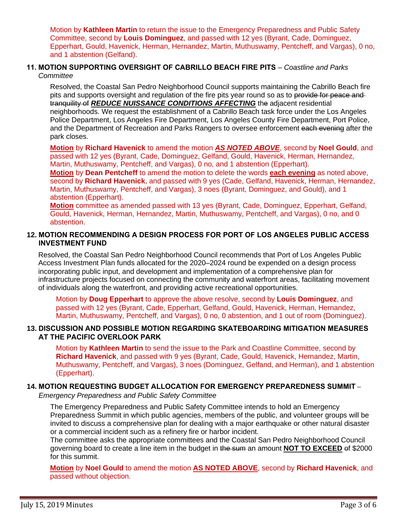Motion by **Kathleen Martin** to return the issue to the Emergency Preparedness and Public Safety Committee, second by **Louis Dominguez**, and passed with 12 yes (Byrant, Cade, Dominguez, Epperhart, Gould, Havenick, Herman, Hernandez, Martin, Muthuswamy, Pentcheff, and Vargas), 0 no, and 1 abstention (Gelfand).

#### **11. MOTION SUPPORTING OVERSIGHT OF CABRILLO BEACH FIRE PITS** – *Coastline and Parks Committee*

Resolved, the Coastal San Pedro Neighborhood Council supports maintaining the Cabrillo Beach fire pits and supports oversight and regulation of the fire pits year round so as to provide for peace and tranquility of *REDUCE NUISSANCE CONDITIONS AFFECTING* the adjacent residential neighborhoods. We request the establishment of a Cabrillo Beach task force under the Los Angeles Police Department, Los Angeles Fire Department, Los Angeles County Fire Department, Port Police, and the Department of Recreation and Parks Rangers to oversee enforcement each evening after the park closes.

**Motion** by **Richard Havenick** to amend the motion *AS NOTED ABOVE*, second by **Noel Gould**, and passed with 12 yes (Byrant, Cade, Dominguez, Gelfand, Gould, Havenick, Herman, Hernandez, Martin, Muthuswamy, Pentcheff, and Vargas), 0 no, and 1 abstention (Epperhart).

**Motion** by **Dean Pentcheff** to amend the motion to delete the words **each evening** as noted above, second by **Richard Havenick**, and passed with 9 yes (Cade, Gelfand, Havenick, Herman, Hernandez, Martin, Muthuswamy, Pentcheff, and Vargas), 3 noes (Byrant, Dominguez, and Gould), and 1 abstention (Epperhart).

**Motion** committee as amended passed with 13 yes (Byrant, Cade, Dominguez, Epperhart, Gelfand, Gould, Havenick, Herman, Hernandez, Martin, Muthuswamy, Pentcheff, and Vargas), 0 no, and 0 abstention.

#### **12. MOTION RECOMMENDING A DESIGN PROCESS FOR PORT OF LOS ANGELES PUBLIC ACCESS INVESTMENT FUND**

Resolved, the Coastal San Pedro Neighborhood Council recommends that Port of Los Angeles Public Access Investment Plan funds allocated for the 2020–2024 round be expended on a design process incorporating public input, and development and implementation of a comprehensive plan for infrastructure projects focused on connecting the community and waterfront areas, facilitating movement of individuals along the waterfront, and providing active recreational opportunities.

Motion by **Doug Epperhart** to approve the above resolve, second by **Louis Dominguez**, and passed with 12 yes (Byrant, Cade, Epperhart, Gelfand, Gould, Havenick, Herman, Hernandez, Martin, Muthuswamy, Pentcheff, and Vargas), 0 no, 0 abstention, and 1 out of room (Dominguez).

#### **13. DISCUSSION AND POSSIBLE MOTION REGARDING SKATEBOARDING MITIGATION MEASURES AT THE PACIFIC OVERLOOK PARK**

Motion by **Kathleen Martin** to send the issue to the Park and Coastline Committee, second by **Richard Havenick**, and passed with 9 yes (Byrant, Cade, Gould, Havenick, Hernandez, Martin, Muthuswamy, Pentcheff, and Vargas), 3 noes (Dominguez, Gelfand, and Herman), and 1 abstention (Epperhart).

#### **14. MOTION REQUESTING BUDGET ALLOCATION FOR EMERGENCY PREPAREDNESS SUMMIT** –

*Emergency Preparedness and Public Safety Committee*

The Emergency Preparedness and Public Safety Committee intends to hold an Emergency Preparedness Summit in which public agencies, members of the public, and volunteer groups will be invited to discuss a comprehensive plan for dealing with a major earthquake or other natural disaster or a commercial incident such as a refinery fire or harbor incident.

The committee asks the appropriate committees and the Coastal San Pedro Neighborhood Council governing board to create a line item in the budget in the sum an amount **NOT TO EXCEED** of \$2000 for this summit.

**Motion** by **Noel Gould** to amend the motion **AS NOTED ABOVE**, second by **Richard Havenick**, and passed without objection.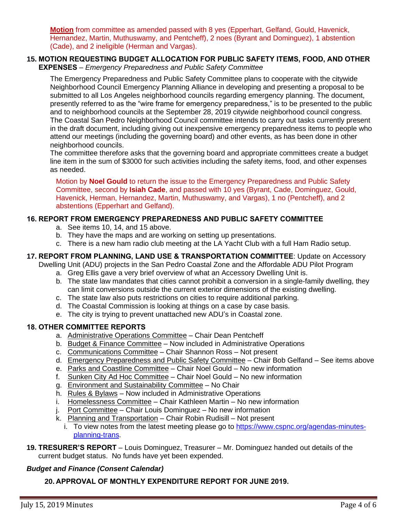**Motion** from committee as amended passed with 8 yes (Epperhart, Gelfand, Gould, Havenick, Hernandez, Martin, Muthuswamy, and Pentcheff), 2 noes (Byrant and Dominguez), 1 abstention (Cade), and 2 ineligible (Herman and Vargas).

#### **15. MOTION REQUESTING BUDGET ALLOCATION FOR PUBLIC SAFETY ITEMS, FOOD, AND OTHER EXPENSES** – *Emergency Preparedness and Public Safety Committee*

The Emergency Preparedness and Public Safety Committee plans to cooperate with the citywide Neighborhood Council Emergency Planning Alliance in developing and presenting a proposal to be submitted to all Los Angeles neighborhood councils regarding emergency planning. The document, presently referred to as the "wire frame for emergency preparedness," is to be presented to the public and to neighborhood councils at the September 28, 2019 citywide neighborhood council congress. The Coastal San Pedro Neighborhood Council committee intends to carry out tasks currently present in the draft document, including giving out inexpensive emergency preparedness items to people who attend our meetings (including the governing board) and other events, as has been done in other neighborhood councils.

The committee therefore asks that the governing board and appropriate committees create a budget line item in the sum of \$3000 for such activities including the safety items, food, and other expenses as needed.

Motion by **Noel Gould** to return the issue to the Emergency Preparedness and Public Safety Committee, second by **Isiah Cade**, and passed with 10 yes (Byrant, Cade, Dominguez, Gould, Havenick, Herman, Hernandez, Martin, Muthuswamy, and Vargas), 1 no (Pentcheff), and 2 abstentions (Epperhart and Gelfand).

#### **16. REPORT FROM EMERGENCY PREPAREDNESS AND PUBLIC SAFETY COMMITTEE**

- a. See items 10, 14, and 15 above.
- b. They have the maps and are working on setting up presentations.
- c. There is a new ham radio club meeting at the LA Yacht Club with a full Ham Radio setup.

# **17. REPORT FROM PLANNING, LAND USE & TRANSPORTATION COMMITTEE**: Update on Accessory

Dwelling Unit (ADU) projects in the San Pedro Coastal Zone and the Affordable ADU Pilot Program

- a. Greg Ellis gave a very brief overview of what an Accessory Dwelling Unit is.
- b. The state law mandates that cities cannot prohibit a conversion in a single-family dwelling, they can limit conversions outside the current exterior dimensions of the existing dwelling.
- c. The state law also puts restrictions on cities to require additional parking.
- d. The Coastal Commission is looking at things on a case by case basis.
- e. The city is trying to prevent unattached new ADU's in Coastal zone.

#### **18. OTHER COMMITTEE REPORTS**

- a. Administrative Operations Committee Chair Dean Pentcheff
- b. Budget & Finance Committee Now included in Administrative Operations
- c. Communications Committee Chair Shannon Ross Not present
- d. Emergency Preparedness and Public Safety Committee Chair Bob Gelfand See items above
- e. Parks and Coastline Committee Chair Noel Gould No new information
- f. Sunken City Ad Hoc Committee Chair Noel Gould No new information
- g. Environment and Sustainability Committee No Chair
- h. Rules & Bylaws Now included in Administrative Operations
- i. Homelessness Committee Chair Kathleen Martin No new information
- j. Port Committee Chair Louis Dominguez No new information
- k. Planning and Transportation Chair Robin Rudisill Not present
	- i. To view notes from the latest meeting please go to [https://www.cspnc.org/agendas-minutes](https://www.cspnc.org/agendas-minutes-planning-trans)[planning-trans.](https://www.cspnc.org/agendas-minutes-planning-trans)
- **19. TRESURER'S REPORT** Louis Dominguez, Treasurer Mr. Dominguez handed out details of the current budget status. No funds have yet been expended.

#### *Budget and Finance (Consent Calendar)*

**20. APPROVAL OF MONTHLY EXPENDITURE REPORT FOR JUNE 2019.**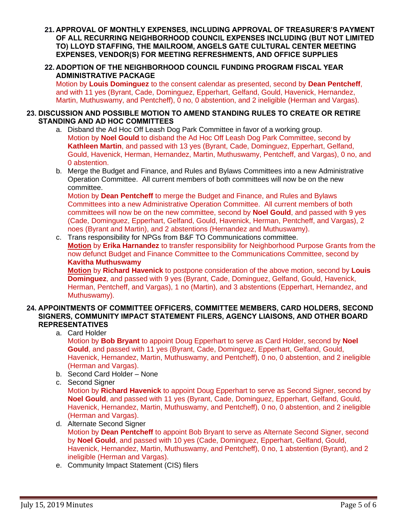- **21. APPROVAL OF MONTHLY EXPENSES, INCLUDING APPROVAL OF TREASURER'S PAYMENT OF ALL RECURRING NEIGHBORHOOD COUNCIL EXPENSES INCLUDING (BUT NOT LIMITED TO) LLOYD STAFFING, THE MAILROOM, ANGELS GATE CULTURAL CENTER MEETING EXPENSES, VENDOR(S) FOR MEETING REFRESHMENTS, AND OFFICE SUPPLIES**
- **22. ADOPTION OF THE NEIGHBORHOOD COUNCIL FUNDING PROGRAM FISCAL YEAR ADMINISTRATIVE PACKAGE**

Motion by **Louis Dominguez** to the consent calendar as presented, second by **Dean Pentcheff**, and with 11 yes (Byrant, Cade, Dominguez, Epperhart, Gelfand, Gould, Havenick, Hernandez, Martin, Muthuswamy, and Pentcheff), 0 no, 0 abstention, and 2 ineligible (Herman and Vargas).

#### **23. DISCUSSION AND POSSIBLE MOTION TO AMEND STANDING RULES TO CREATE OR RETIRE STANDING AND AD HOC COMMITTEES**

- a. Disband the Ad Hoc Off Leash Dog Park Committee in favor of a working group. Motion by **Noel Gould** to disband the Ad Hoc Off Leash Dog Park Committee, second by **Kathleen Martin**, and passed with 13 yes (Byrant, Cade, Dominguez, Epperhart, Gelfand, Gould, Havenick, Herman, Hernandez, Martin, Muthuswamy, Pentcheff, and Vargas), 0 no, and 0 abstention.
- b. Merge the Budget and Finance, and Rules and Bylaws Committees into a new Administrative Operation Committee. All current members of both committees will now be on the new committee.

Motion by **Dean Pentcheff** to merge the Budget and Finance, and Rules and Bylaws Committees into a new Administrative Operation Committee. All current members of both committees will now be on the new committee, second by **Noel Gould**, and passed with 9 yes (Cade, Dominguez, Epperhart, Gelfand, Gould, Havenick, Herman, Pentcheff, and Vargas), 2 noes (Byrant and Martin), and 2 abstentions (Hernandez and Muthuswamy).

c. Trans responsibility for NPGs from B&F TO Communications committee. **Motion** by **Erika Harnandez** to transfer responsibility for Neighborhood Purpose Grants from the now defunct Budget and Finance Committee to the Communications Committee, second by **Kavitha Muthuswamy**

**Motion** by **Richard Havenick** to postpone consideration of the above motion, second by **Louis Dominguez**, and passed with 9 yes (Byrant, Cade, Dominguez, Gelfand, Gould, Havenick, Herman, Pentcheff, and Vargas), 1 no (Martin), and 3 abstentions (Epperhart, Hernandez, and Muthuswamy).

#### **24. APPOINTMENTS OF COMMITTEE OFFICERS, COMMITTEE MEMBERS, CARD HOLDERS, SECOND SIGNERS, COMMUNITY IMPACT STATEMENT FILERS, AGENCY LIAISONS, AND OTHER BOARD REPRESENTATIVES**

a. Card Holder

Motion by **Bob Bryant** to appoint Doug Epperhart to serve as Card Holder, second by **Noel Gould**, and passed with 11 yes (Byrant, Cade, Dominguez, Epperhart, Gelfand, Gould, Havenick, Hernandez, Martin, Muthuswamy, and Pentcheff), 0 no, 0 abstention, and 2 ineligible (Herman and Vargas).

- b. Second Card Holder None
- c. Second Signer

Motion by **Richard Havenick** to appoint Doug Epperhart to serve as Second Signer, second by **Noel Gould**, and passed with 11 yes (Byrant, Cade, Dominguez, Epperhart, Gelfand, Gould, Havenick, Hernandez, Martin, Muthuswamy, and Pentcheff), 0 no, 0 abstention, and 2 ineligible (Herman and Vargas).

d. Alternate Second Signer

Motion by **Dean Pentcheff** to appoint Bob Bryant to serve as Alternate Second Signer, second by **Noel Gould**, and passed with 10 yes (Cade, Dominguez, Epperhart, Gelfand, Gould, Havenick, Hernandez, Martin, Muthuswamy, and Pentcheff), 0 no, 1 abstention (Byrant), and 2 ineligible (Herman and Vargas).

e. Community Impact Statement (CIS) filers